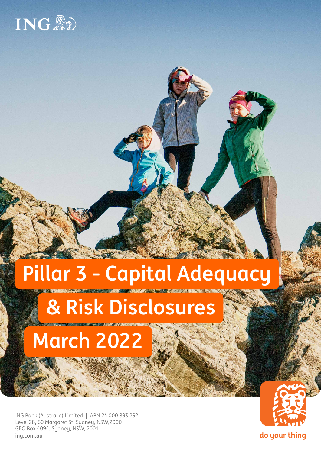

# **Pillar 3 - Capital Adequacy**

# **& Risk Disclosures**

# **March 2022**

ING Bank (Australia) Limited | ABN 24 000 893 292 Level 28, 60 Margaret St, Sydney, NSW,2000 GPO Box 4094, Sydney, NSW, 2001 **[ing.com.au](http://ing.com.au)**



do your thing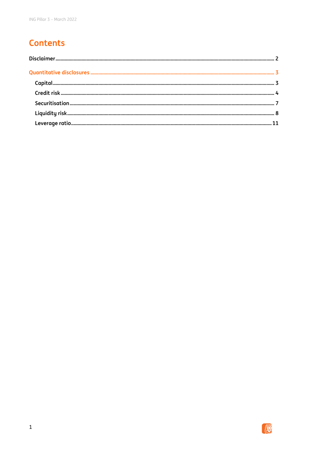# **Contents**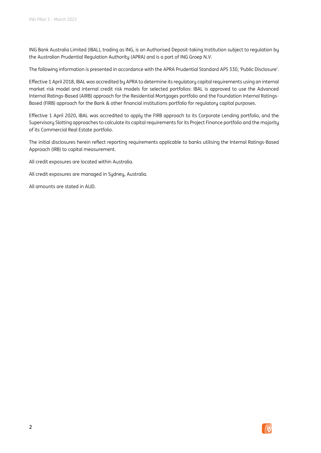<span id="page-2-0"></span>ING Bank Australia Limited (IBAL), trading as ING, is an Authorised Deposit-taking Institution subject to regulation by the Australian Prudential Regulation Authority (APRA) and is a part of ING Groep N.V.

The following information is presented in accordance with the APRA Prudential Standard APS 330, 'Public Disclosure'.

Effective 1 April 2018, IBAL was accredited by APRA to determine its regulatory capital requirements using an internal market risk model and internal credit risk models for selected portfolios: IBAL is approved to use the Advanced Internal Ratings-Based (AIRB) approach for the Residential Mortgages portfolio and the Foundation Internal Ratings-Based (FIRB) approach for the Bank & other financial institutions portfolio for regulatory capital purposes.

Effective 1 April 2020, IBAL was accredited to apply the FIRB approach to its Corporate Lending portfolio, and the Supervisory Slotting approaches to calculate its capital requirements for its Project Finance portfolio and the majority of its Commercial Real Estate portfolio.

The initial disclosures herein reflect reporting requirements applicable to banks utilising the Internal Ratings-Based Approach (IRB) to capital measurement.

All credit exposures are located within Australia.

All credit exposures are managed in Sydney, Australia.

All amounts are stated in AUD.

2

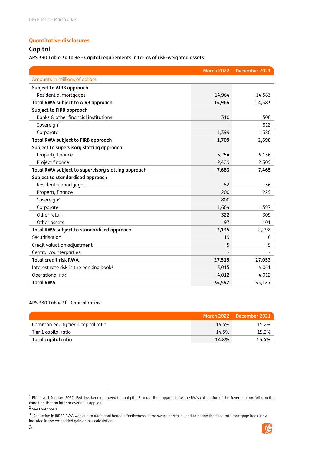#### <span id="page-3-0"></span>**Quantitative disclosures**

#### <span id="page-3-1"></span>**Capital**

**APS 330 Table 3a to 3e - Capital requirements in terms of risk-weighted assets**

|                                                     | <b>March 2022</b> | December 2021 |
|-----------------------------------------------------|-------------------|---------------|
| Amounts in millions of dollars                      |                   |               |
| Subject to AIRB approach                            |                   |               |
| Residential mortgages                               | 14,964            | 14,583        |
| <b>Total RWA subject to AIRB approach</b>           | 14,964            | 14,583        |
| <b>Subject to FIRB approach</b>                     |                   |               |
| Banks & other financial institutions                | 310               | 506           |
| Sovereign <sup>1</sup>                              |                   | 812           |
| Corporate                                           | 1,399             | 1,380         |
| <b>Total RWA subject to FIRB approach</b>           | 1,709             | 2,698         |
| Subject to supervisory slotting approach            |                   |               |
| Property finance                                    | 5,254             | 5,156         |
| Project finance                                     | 2,429             | 2,309         |
| Total RWA subject to supervisory slotting approach  | 7,683             | 7,465         |
| Subject to standardised approach                    |                   |               |
| Residential mortgages                               | 52                | 56            |
| Property finance                                    | 200               | 229           |
| Sovereign <sup>2</sup>                              | 800               |               |
| Corporate                                           | 1,664             | 1,597         |
| Other retail                                        | 322               | 309           |
| Other assets                                        | 97                | 101           |
| Total RWA subject to standardised approach          | 3,135             | 2,292         |
| Securitisation                                      | 19                | 6             |
| Credit valuation adjustment                         | 5                 | 9             |
| Central counterparties                              |                   |               |
| <b>Total credit risk RWA</b>                        | 27,515            | 27,053        |
| Interest rate risk in the banking book <sup>3</sup> | 3,015             | 4,061         |
| Operational risk                                    | 4,012             | 4,012         |
| <b>Total RWA</b>                                    | 34,542            | 35,127        |

#### **APS 330 Table 3f - Capital ratios**

|                                    |       | March 2022 December 2021 |
|------------------------------------|-------|--------------------------|
| Common equity tier 1 capital ratio | 14.5% | 15.2%                    |
| Tier 1 capital ratio               | 14.5% | 15.2%                    |
| Total capital ratio                | 14.8% | 15.4%                    |



 1 Effective 1 January 2022, IBAL has been approved to apply the Standardised approach for the RWA calculation of the Sovereign portfolio, on the condition that an interim overlay is applied.

<sup>&</sup>lt;sup>2</sup> See Footnote 1.

<sup>&</sup>lt;sup>3</sup> Reduction in IRRBB RWA was due to additional hedge effectiveness in the swaps portfolio used to hedge the fixed rate mortgage book (now included in the embedded gain or loss calculation).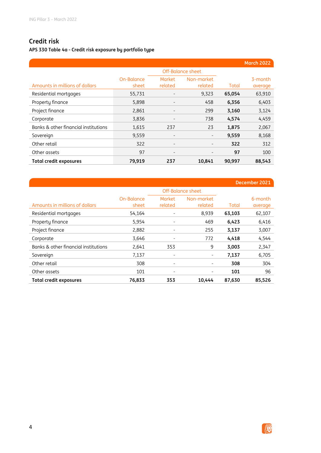### <span id="page-4-0"></span>**Credit risk**

**APS 330 Table 4a - Credit risk exposure by portfolio type**

|                                      |                     |                          |                          |        | <b>March 2022</b>  |
|--------------------------------------|---------------------|--------------------------|--------------------------|--------|--------------------|
|                                      |                     |                          | Off-Balance sheet        |        |                    |
| Amounts in millions of dollars       | On-Balance<br>sheet | <b>Market</b><br>related | Non-market<br>related    | Total  | 3-month<br>average |
| Residential mortgages                | 55,731              | $\overline{\phantom{a}}$ | 9,323                    | 65,054 | 63,910             |
| Property finance                     | 5,898               | $\overline{\phantom{a}}$ | 458                      | 6,356  | 6,403              |
| Project finance                      | 2,861               | $\overline{\phantom{a}}$ | 299                      | 3,160  | 3,124              |
| Corporate                            | 3,836               |                          | 738                      | 4,574  | 4,459              |
| Banks & other financial institutions | 1,615               | 237                      | 23                       | 1,875  | 2,067              |
| Sovereign                            | 9,559               | $\overline{\phantom{m}}$ | -                        | 9,559  | 8,168              |
| Other retail                         | 322                 | $\overline{\phantom{a}}$ | $\overline{\phantom{a}}$ | 322    | 312                |
| Other assets                         | 97                  | $\overline{\phantom{a}}$ |                          | 97     | 100                |
| Total credit exposures               | 79,919              | 237                      | 10,841                   | 90,997 | 88,543             |

|                                      |            |                          |                          |        | December 2021 |
|--------------------------------------|------------|--------------------------|--------------------------|--------|---------------|
|                                      |            |                          | <b>Off-Balance sheet</b> |        |               |
|                                      | On-Balance | <b>Market</b>            | Non-market               |        | 6-month       |
| Amounts in millions of dollars       | sheet      | related                  | related                  | Total  | average       |
| Residential mortgages                | 54,164     | $\qquad \qquad -$        | 8,939                    | 63,103 | 62,107        |
| Property finance                     | 5,954      |                          | 469                      | 6,423  | 6,416         |
| Project finance                      | 2,882      |                          | 255                      | 3,137  | 3,007         |
| Corporate                            | 3,646      | $\overline{\phantom{a}}$ | 772                      | 4,418  | 4,544         |
| Banks & other financial institutions | 2,641      | 353                      | 9                        | 3,003  | 2,347         |
| Sovereign                            | 7,137      | $\qquad \qquad -$        | -                        | 7,137  | 6,705         |
| Other retail                         | 308        | $\overline{\phantom{a}}$ | -                        | 308    | 304           |
| Other assets                         | 101        | $\overline{\phantom{a}}$ |                          | 101    | 96            |
| <b>Total credit exposures</b>        | 76,833     | 353                      | 10,444                   | 87,630 | 85.526        |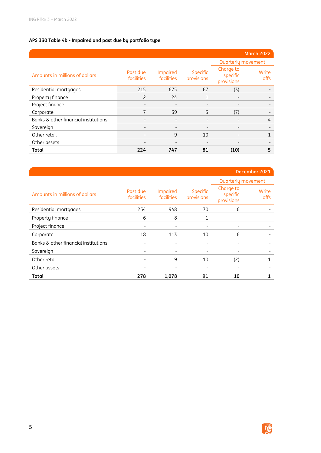#### **APS 330 Table 4b - Impaired and past due by portfolio type**

|                                      |                        |                        |                        |                                     | <b>March 2022</b> |
|--------------------------------------|------------------------|------------------------|------------------------|-------------------------------------|-------------------|
|                                      |                        |                        |                        | Quarterly movement                  |                   |
| Amounts in millions of dollars       | Past due<br>facilities | Impaired<br>facilities | Specific<br>provisions | Charge to<br>specific<br>provisions | Write<br>offs     |
| Residential mortgages                | 215                    | 675                    | 67                     | (3)                                 |                   |
| Property finance                     | $\mathcal{P}$          | 24                     | 1                      | $\overline{\phantom{a}}$            |                   |
| Project finance                      |                        |                        |                        |                                     |                   |
| Corporate                            | 7                      | 39                     | 3                      | (7)                                 |                   |
| Banks & other financial institutions |                        |                        |                        |                                     | 4                 |
| Sovereign                            |                        |                        |                        |                                     |                   |
| Other retail                         |                        | 9                      | 10                     | $\overline{\phantom{0}}$            | $\mathbf{1}$      |
| Other assets                         |                        |                        |                        |                                     |                   |
| Total                                | 224                    | 747                    | 81                     | (10)                                | 5                 |

|                                      |                        |                        |                          |                                     | December 2021        |
|--------------------------------------|------------------------|------------------------|--------------------------|-------------------------------------|----------------------|
|                                      |                        |                        |                          | Quarterly movement                  |                      |
| Amounts in millions of dollars       | Past due<br>facilities | Impaired<br>facilities | Specific<br>provisions   | Charge to<br>specific<br>provisions | Write<br><b>offs</b> |
| Residential mortgages                | 254                    | 948                    | 70                       | 6                                   |                      |
| Property finance                     | 6                      | 8                      | 1                        |                                     |                      |
| Project finance                      | ٠                      | $\qquad \qquad -$      | $\overline{\phantom{0}}$ |                                     |                      |
| Corporate                            | 18                     | 113                    | 10                       | 6                                   |                      |
| Banks & other financial institutions |                        |                        |                          |                                     |                      |
| Sovereign                            |                        |                        |                          |                                     |                      |
| Other retail                         |                        | 9                      | 10                       | (2)                                 |                      |
| Other assets                         |                        |                        |                          |                                     |                      |
| Total                                | 278                    | 1,078                  | 91                       | 10                                  | 1                    |

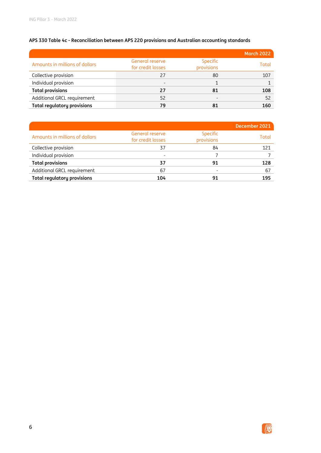#### **APS 330 Table 4c - Reconciliation between APS 220 provisions and Australian accounting standards**

|                                    |                                      |                        | <b>March 2022</b> |
|------------------------------------|--------------------------------------|------------------------|-------------------|
| Amounts in millions of dollars     | General reserve<br>for credit losses | Specific<br>provisions | Total             |
| Collective provision               | 27                                   | 80                     | 107               |
| Individual provision               |                                      |                        |                   |
| <b>Total provisions</b>            | 27                                   | 81                     | 108               |
| Additional GRCL requirement        | 52                                   |                        | 52                |
| <b>Total regulatory provisions</b> | 79                                   |                        | 160               |

|                                    |                                      |                        | December 2021 |
|------------------------------------|--------------------------------------|------------------------|---------------|
| Amounts in millions of dollars     | General reserve<br>for credit losses | Specific<br>provisions | Total         |
| Collective provision               | 37                                   | 84                     | 121           |
| Individual provision               |                                      |                        |               |
| <b>Total provisions</b>            | 37                                   | 91                     | 128           |
| Additional GRCL requirement        | 67                                   |                        | 67            |
| <b>Total regulatory provisions</b> | 104                                  |                        | 195           |

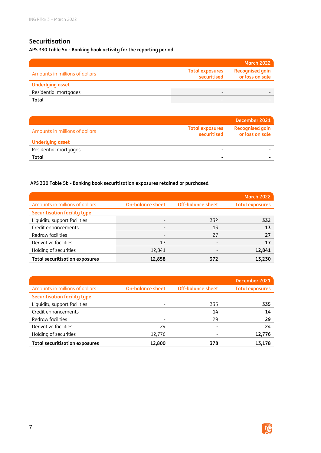### <span id="page-7-0"></span>**Securitisation**

**APS 330 Table 5a - Banking book activity for the reporting period**

|                                |                                       | <b>March 2022</b>                         |
|--------------------------------|---------------------------------------|-------------------------------------------|
| Amounts in millions of dollars | <b>Total exposures</b><br>securitised | <b>Recognised gain</b><br>or loss on sale |
| <b>Underlying asset</b>        |                                       |                                           |
| Residential mortgages          |                                       |                                           |
| Total                          | $\overline{\phantom{0}}$              |                                           |

|                                |                                       | December 2021                             |
|--------------------------------|---------------------------------------|-------------------------------------------|
| Amounts in millions of dollars | <b>Total exposures</b><br>securitised | <b>Recognised gain</b><br>or loss on sale |
| <b>Underlying asset</b>        |                                       |                                           |
| Residential mortgages          | -                                     |                                           |
| Total                          |                                       |                                           |

#### **APS 330 Table 5b - Banking book securitisation exposures retained or purchased**

|                                       |                          |                          | <b>March 2022</b>      |
|---------------------------------------|--------------------------|--------------------------|------------------------|
| Amounts in millions of dollars        | <b>On-balance sheet</b>  | <b>Off-balance sheet</b> | <b>Total exposures</b> |
| <b>Securitisation facility type</b>   |                          |                          |                        |
| Liquidity support facilities          | $\overline{\phantom{0}}$ | 332                      | 332                    |
| Credit enhancements                   | $\qquad \qquad -$        | 13                       | 13                     |
| Redraw facilities                     | $\overline{\phantom{0}}$ | 27                       | 27                     |
| Derivative facilities                 | 17                       | -                        | 17                     |
| Holding of securities                 | 12,841                   | $\overline{\phantom{0}}$ | 12,841                 |
| <b>Total securitisation exposures</b> | 12,858                   | 372                      | 13.230                 |

|                                       |                          |                          | December 2021          |
|---------------------------------------|--------------------------|--------------------------|------------------------|
| Amounts in millions of dollars        | <b>On-balance sheet</b>  | <b>Off-balance sheet</b> | <b>Total exposures</b> |
| <b>Securitisation facility type</b>   |                          |                          |                        |
| Liquidity support facilities          | $\qquad \qquad$          | 335                      | 335                    |
| Credit enhancements                   | $\overline{\phantom{a}}$ | 14                       | 14                     |
| Redraw facilities                     |                          | 29                       | 29                     |
| Derivative facilities                 | 24                       | ٠                        | 24                     |
| Holding of securities                 | 12,776                   |                          | 12,776                 |
| <b>Total securitisation exposures</b> | 12,800                   | 378                      | 13.178                 |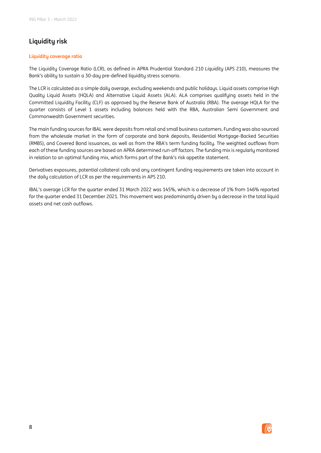### <span id="page-8-0"></span>**Liquidity risk**

#### **Liquidity coverage ratio**

The Liquidity Coverage Ratio (LCR), as defined in APRA Prudential Standard 210 *Liquidity* (APS 210), measures the Bank's ability to sustain a 30-day pre-defined liquidity stress scenario.

The LCR is calculated as a simple daily average, excluding weekends and public holidays. Liquid assets comprise High Quality Liquid Assets (HQLA) and Alternative Liquid Assets (ALA). ALA comprises qualifying assets held in the Committed Liquidity Facility (CLF) as approved by the Reserve Bank of Australia (RBA). The average HQLA for the quarter consists of Level 1 assets including balances held with the RBA, Australian Semi Government and Commonwealth Government securities.

The main funding sources for IBAL were deposits from retail and small business customers. Funding was also sourced from the wholesale market in the form of corporate and bank deposits, Residential Mortgage-Backed Securities (RMBS), and Covered Bond issuances, as well as from the RBA's term funding facility. The weighted outflows from each of these funding sources are based on APRA determined run-off factors. The funding mix is regularly monitored in relation to an optimal funding mix, which forms part of the Bank's risk appetite statement.

Derivatives exposures, potential collateral calls and any contingent funding requirements are taken into account in the daily calculation of LCR as per the requirements in APS 210.

IBAL's average LCR for the quarter ended 31 March 2022 was 145%, which is a decrease of 1% from 146% reported for the quarter ended 31 December 2021. This movement was predominantly driven by a decrease in the total liquid assets and net cash outflows.

8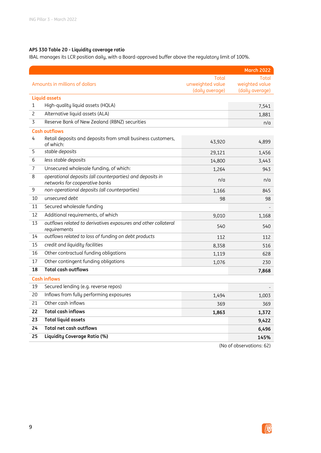#### **APS 330 Table 20 - Liquidity coverage ratio**

IBAL manages its LCR position daily, with a Board-approved buffer above the regulatory limit of 100%.

|                                |                                                                                             |                                              | <b>March 2022</b>                          |
|--------------------------------|---------------------------------------------------------------------------------------------|----------------------------------------------|--------------------------------------------|
| Amounts in millions of dollars |                                                                                             | Total<br>unweighted value<br>(daily average) | Total<br>weighted value<br>(daily average) |
|                                | <b>Liquid assets</b>                                                                        |                                              |                                            |
| 1                              | High-quality liquid assets (HQLA)                                                           |                                              | 7,541                                      |
| $\overline{c}$                 | Alternative liquid assets (ALA)                                                             |                                              | 1,881                                      |
| 3                              | Reserve Bank of New Zealand (RBNZ) securities                                               | n/a                                          |                                            |
|                                | <b>Cash outflows</b>                                                                        |                                              |                                            |
| 4                              | Retail deposits and deposits from small business customers,<br>of which:                    | 43,920                                       | 4,899                                      |
| 5                              | stable deposits                                                                             | 29,121                                       | 1,456                                      |
| 6                              | less stable deposits                                                                        | 14,800                                       | 3,443                                      |
| 7                              | Unsecured wholesale funding, of which:                                                      | 1,264                                        | 943                                        |
| 8                              | operational deposits (all counterparties) and deposits in<br>networks for cooperative banks | n/a                                          | n/a                                        |
| 9                              | non-operational deposits (all counterparties)                                               | 1,166                                        | 845                                        |
| 10                             | unsecured debt                                                                              | 98                                           | 98                                         |
| 11                             | Secured wholesale funding                                                                   |                                              |                                            |
| 12                             | Additional requirements, of which                                                           | 9,010                                        | 1,168                                      |
| 13                             | outflows related to derivatives exposures and other collateral<br>requirements              | 540                                          | 540                                        |
| 14                             | outflows related to loss of funding on debt products                                        | 112                                          | 112                                        |
| 15                             | credit and liquidity facilities                                                             | 8,358                                        | 516                                        |
| 16                             | Other contractual funding obligations                                                       | 1,119                                        | 628                                        |
| 17                             | Other contingent funding obligations                                                        | 1,076                                        | 230                                        |
| 18                             | <b>Total cash outflows</b>                                                                  |                                              | 7,868                                      |
|                                | <b>Cash inflows</b>                                                                         |                                              |                                            |
| 19                             | Secured lending (e.g. reverse repos)                                                        |                                              |                                            |
| 20                             | Inflows from fully performing exposures                                                     | 1,494                                        | 1,003                                      |
| 21                             | Other cash inflows                                                                          | 369                                          | 369                                        |
| 22                             | <b>Total cash inflows</b>                                                                   | 1,863                                        | 1,372                                      |
| 23                             | <b>Total liquid assets</b>                                                                  |                                              | 9,422                                      |
| 24                             | <b>Total net cash outflows</b>                                                              |                                              | 6,496                                      |
| 25                             | Liquidity Coverage Ratio (%)                                                                |                                              | 145%                                       |

(No of observations: 62)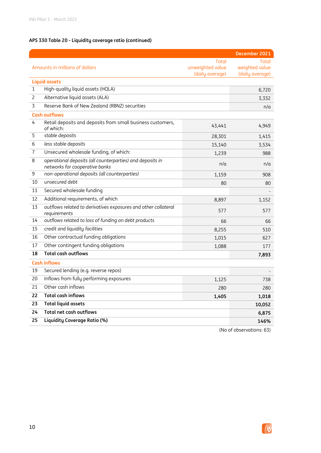#### **APS 330 Table 20 - Liquidity coverage ratio (continued)**

|                                                                                                  |                                              | December 2021                              |
|--------------------------------------------------------------------------------------------------|----------------------------------------------|--------------------------------------------|
| Amounts in millions of dollars                                                                   | Total<br>unweighted value<br>(daily average) | Total<br>weighted value<br>(daily average) |
| <b>Liquid assets</b>                                                                             |                                              |                                            |
| High-quality liquid assets (HQLA)<br>$\mathbf{1}$                                                |                                              | 6,720                                      |
| Alternative liquid assets (ALA)<br>2                                                             |                                              | 3,332                                      |
| Reserve Bank of New Zealand (RBNZ) securities<br>3                                               | n/a                                          |                                            |
| <b>Cash outflows</b>                                                                             |                                              |                                            |
| Retail deposits and deposits from small business customers,<br>4<br>of which:                    | 43,441                                       | 4,949                                      |
| stable deposits<br>5                                                                             | 28,301                                       | 1,415                                      |
| less stable deposits<br>6                                                                        | 15,140                                       | 3,534                                      |
| Unsecured wholesale funding, of which:<br>7                                                      | 1,239                                        | 988                                        |
| operational deposits (all counterparties) and deposits in<br>8<br>networks for cooperative banks | n/a                                          | n/a                                        |
| non-operational deposits (all counterparties)<br>9                                               | 1,159                                        | 908                                        |
| 10<br>unsecured debt                                                                             | 80                                           | 80                                         |
| Secured wholesale funding<br>11                                                                  |                                              |                                            |
| 12<br>Additional requirements, of which                                                          | 8,897                                        | 1,152                                      |
| 13<br>outflows related to derivatives exposures and other collateral<br>requirements             | 577                                          | 577                                        |
| outflows related to loss of funding on debt products<br>14                                       | 66                                           | 66                                         |
| 15<br>credit and liquidity facilities                                                            | 8,255                                        | 510                                        |
| Other contractual funding obligations<br>16                                                      | 1,015                                        | 627                                        |
| Other contingent funding obligations<br>17                                                       | 1,088                                        | 177                                        |
| <b>Total cash outflows</b><br>18                                                                 |                                              | 7,893                                      |
| <b>Cash inflows</b>                                                                              |                                              |                                            |
| Secured lending (e.g. reverse repos)<br>19                                                       |                                              |                                            |
| Inflows from fully performing exposures<br>20                                                    | 1,125                                        | 738                                        |
| Other cash inflows<br>21                                                                         | 280                                          | 280                                        |
| <b>Total cash inflows</b><br>22                                                                  | 1,405                                        | 1,018                                      |
| 23<br><b>Total liquid assets</b>                                                                 |                                              | 10,052                                     |
| 24<br><b>Total net cash outflows</b>                                                             | 6,875                                        |                                            |
| Liquidity Coverage Ratio (%)<br>25                                                               | 146%                                         |                                            |

(No of observations: 63)